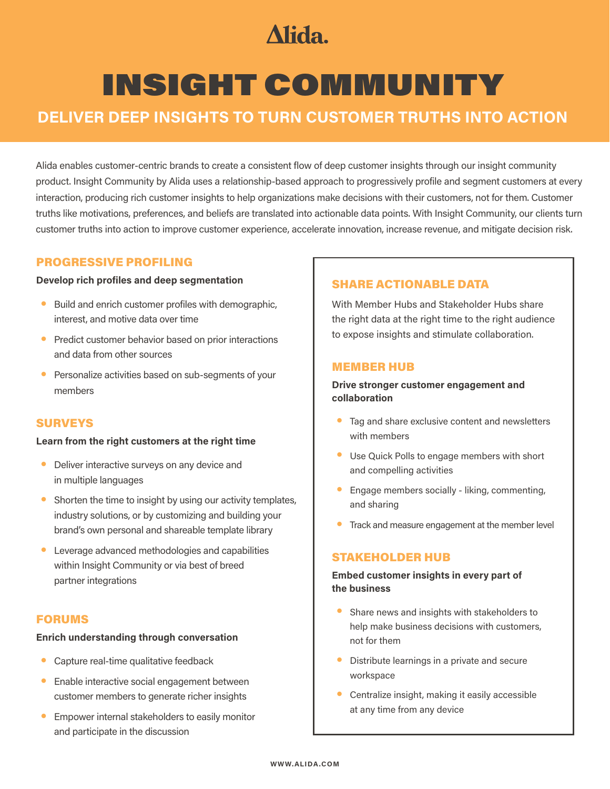## **Alida**

# INSIGHT COMMUNITY

### **DELIVER DEEP INSIGHTS TO TURN CUSTOMER TRUTHS INTO ACTION**

Alida enables customer-centric brands to create a consistent flow of deep customer insights through our insight community product. Insight Community by Alida uses a relationship-based approach to progressively profile and segment customers at every interaction, producing rich customer insights to help organizations make decisions with their customers, not for them. Customer truths like motivations, preferences, and beliefs are translated into actionable data points. With Insight Community, our clients turn customer truths into action to improve customer experience, accelerate innovation, increase revenue, and mitigate decision risk.

#### PROGRESSIVE PROFILING

#### **Develop rich profiles and deep segmentation**

- Build and enrich customer profiles with demographic, interest, and motive data over time
- Predict customer behavior based on prior interactions and data from other sources
- Personalize activities based on sub-segments of your members

#### **SURVEYS**

#### **Learn from the right customers at the right time**

- Deliver interactive surveys on any device and in multiple languages
- Shorten the time to insight by using our activity templates, industry solutions, or by customizing and building your brand's own personal and shareable template library
- Leverage advanced methodologies and capabilities within Insight Community or via best of breed partner integrations

#### FORUMS

#### **Enrich understanding through conversation**

- Capture real-time qualitative feedback
- Enable interactive social engagement between customer members to generate richer insights
- Empower internal stakeholders to easily monitor and participate in the discussion

#### SHARE ACTIONABLE DATA

With Member Hubs and Stakeholder Hubs share the right data at the right time to the right audience to expose insights and stimulate collaboration.

#### MEMBER HUB

#### **Drive stronger customer engagement and collaboration**

- Tag and share exclusive content and newsletters with members
- Use Quick Polls to engage members with short and compelling activities
- Engage members socially liking, commenting, and sharing
- **•** Track and measure engagement at the member level

#### STAKEHOLDER HUB

#### **Embed customer insights in every part of the business**

- Share news and insights with stakeholders to help make business decisions with customers, not for them
- Distribute learnings in a private and secure workspace
- Centralize insight, making it easily accessible at any time from any device